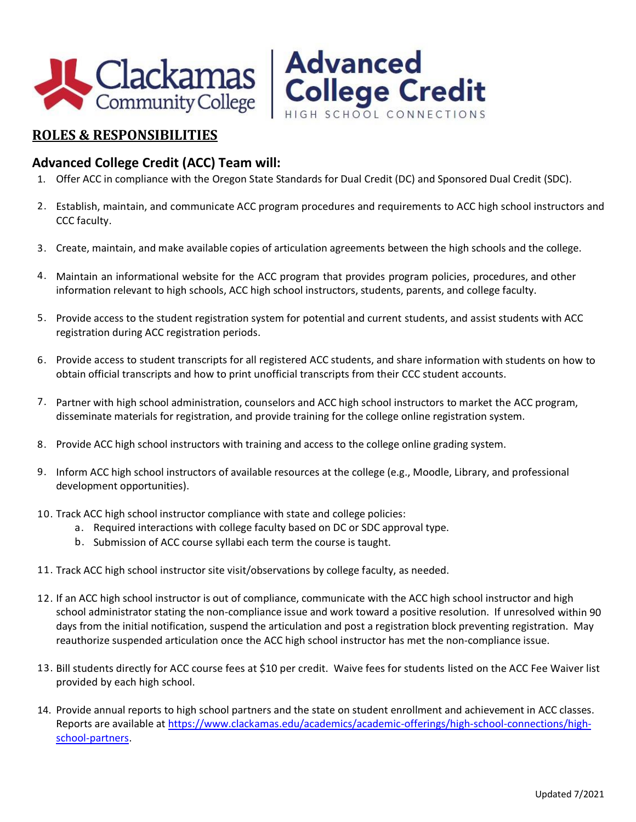



### **Advanced College Credit (ACC) Team will:**

- 1. Offer ACC in compliance with the Oregon State Standards for Dual Credit (DC) and Sponsored Dual Credit (SDC).
- 2. Establish, maintain, and communicate ACC program procedures and requirements to ACC high school instructors and CCC faculty.
- 3. Create, maintain, and make available copies of articulation agreements between the high schools and the college.
- 4. Maintain an informational website for the ACC program that provides program policies, procedures, and other information relevant to high schools, ACC high school instructors, students, parents, and college faculty.
- 5. Provide access to the student registration system for potential and current students, and assist students with ACC registration during ACC registration periods.
- 6. Provide access to student transcripts for all registered ACC students, and share information with students on how to obtain official transcripts and how to print unofficial transcripts from their CCC student accounts.
- 7. Partner with high school administration, counselors and ACC high school instructors to market the ACC program, disseminate materials for registration, and provide training for the college online registration system.
- 8. Provide ACC high school instructors with training and access to the college online grading system.
- 9. Inform ACC high school instructors of available resources at the college (e.g., Moodle, Library, and professional development opportunities).
- 10. Track ACC high school instructor compliance with state and college policies:
	- a. Required interactions with college faculty based on DC or SDC approval type.
	- b. Submission of ACC course syllabi each term the course is taught.
- 11. Track ACC high school instructor site visit/observations by college faculty, as needed.
- 12. If an ACC high school instructor is out of compliance, communicate with the ACC high school instructor and high school administrator stating the non-compliance issue and work toward a positive resolution. If unresolved within 90 days from the initial notification, suspend the articulation and post a registration block preventing registration. May reauthorize suspended articulation once the ACC high school instructor has met the non-compliance issue.
- 13. Bill students directly for ACC course fees at \$10 per credit. Waive fees for students listed on the ACC Fee Waiver list provided by each high school.
- 14. Provide annual reports to high school partners and the state on student enrollment and achievement in ACC classes. Reports are available at [https://www.clackamas.edu/academics/academic-offerings/high-school-connections/high](https://www.clackamas.edu/academics/academic-offerings/high-school-connections/high-school-partners)[school-partners.](https://www.clackamas.edu/academics/academic-offerings/high-school-connections/high-school-partners)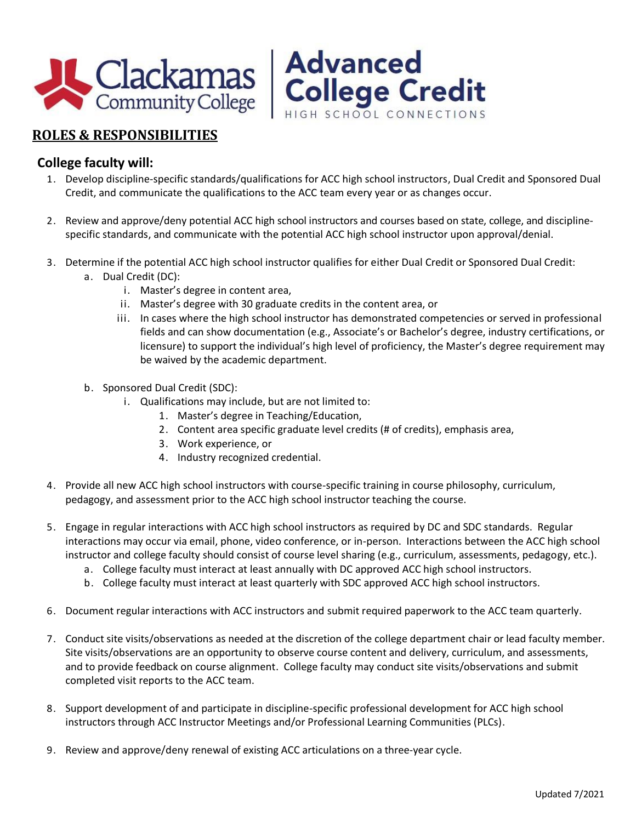

#### **College faculty will:**

- 1. Develop discipline-specific standards/qualifications for ACC high school instructors, Dual Credit and Sponsored Dual Credit, and communicate the qualifications to the ACC team every year or as changes occur.
- 2. Review and approve/deny potential ACC high school instructors and courses based on state, college, and disciplinespecific standards, and communicate with the potential ACC high school instructor upon approval/denial.
- 3. Determine if the potential ACC high school instructor qualifies for either Dual Credit or Sponsored Dual Credit:
	- a. Dual Credit (DC):
		- i. Master's degree in content area,
		- ii. Master's degree with 30 graduate credits in the content area, or
		- iii. In cases where the high school instructor has demonstrated competencies or served in professional fields and can show documentation (e.g., Associate's or Bachelor's degree, industry certifications, or licensure) to support the individual's high level of proficiency, the Master's degree requirement may be waived by the academic department.
	- b. Sponsored Dual Credit (SDC):
		- i. Qualifications may include, but are not limited to:
			- 1. Master's degree in Teaching/Education,
			- 2. Content area specific graduate level credits (# of credits), emphasis area,
			- 3. Work experience, or
			- 4. Industry recognized credential.
- 4. Provide all new ACC high school instructors with course-specific training in course philosophy, curriculum, pedagogy, and assessment prior to the ACC high school instructor teaching the course.
- 5. Engage in regular interactions with ACC high school instructors as required by DC and SDC standards. Regular interactions may occur via email, phone, video conference, or in-person. Interactions between the ACC high school instructor and college faculty should consist of course level sharing (e.g., curriculum, assessments, pedagogy, etc.).
	- a. College faculty must interact at least annually with DC approved ACC high school instructors.
	- b. College faculty must interact at least quarterly with SDC approved ACC high school instructors.
- 6. Document regular interactions with ACC instructors and submit required paperwork to the ACC team quarterly.
- 7. Conduct site visits/observations as needed at the discretion of the college department chair or lead faculty member. Site visits/observations are an opportunity to observe course content and delivery, curriculum, and assessments, and to provide feedback on course alignment. College faculty may conduct site visits/observations and submit completed visit reports to the ACC team.
- 8. Support development of and participate in discipline-specific professional development for ACC high school instructors through ACC Instructor Meetings and/or Professional Learning Communities (PLCs).
- 9. Review and approve/deny renewal of existing ACC articulations on a three-year cycle.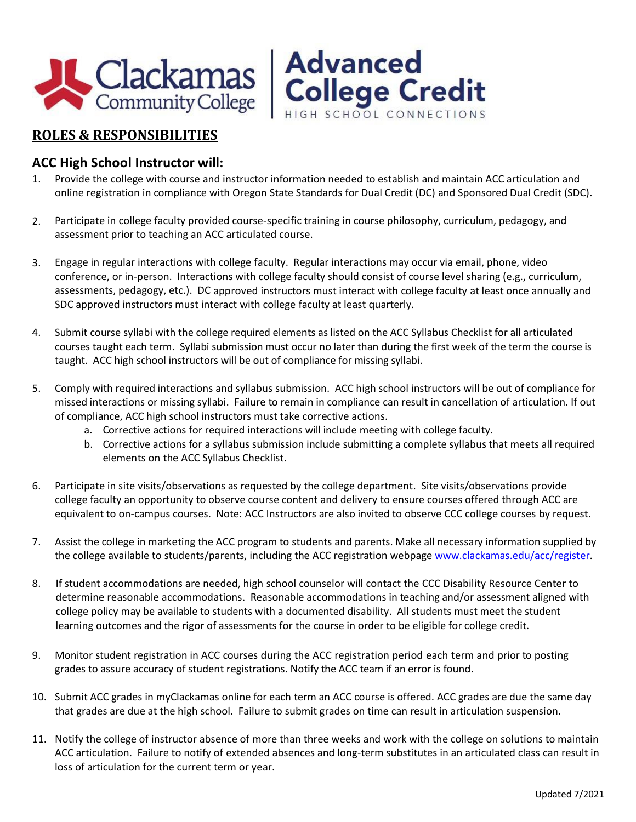



#### **ACC High School Instructor will:**

- 1. Provide the college with course and instructor information needed to establish and maintain ACC articulation and online registration in compliance with Oregon State Standards for Dual Credit (DC) and Sponsored Dual Credit (SDC).
- 2. Participate in college faculty provided course-specific training in course philosophy, curriculum, pedagogy, and assessment prior to teaching an ACC articulated course.
- 3. Engage in regular interactions with college faculty. Regular interactions may occur via email, phone, video conference, or in-person. Interactions with college faculty should consist of course level sharing (e.g., curriculum, assessments, pedagogy, etc.). DC approved instructors must interact with college faculty at least once annually and SDC approved instructors must interact with college faculty at least quarterly.
- 4. Submit course syllabi with the college required elements as listed on the ACC Syllabus Checklist for all articulated courses taught each term. Syllabi submission must occur no later than during the first week of the term the course is taught. ACC high school instructors will be out of compliance for missing syllabi.
- 5. Comply with required interactions and syllabus submission. ACC high school instructors will be out of compliance for missed interactions or missing syllabi. Failure to remain in compliance can result in cancellation of articulation. If out of compliance, ACC high school instructors must take corrective actions.
	- a. Corrective actions for required interactions will include meeting with college faculty.
	- b. Corrective actions for a syllabus submission include submitting a complete syllabus that meets all required elements on the ACC Syllabus Checklist.
- 6. Participate in site visits/observations as requested by the college department. Site visits/observations provide college faculty an opportunity to observe course content and delivery to ensure courses offered through ACC are equivalent to on-campus courses. Note: ACC Instructors are also invited to observe CCC college courses by request.
- 7. Assist the college in marketing the ACC program to students and parents. Make all necessary information supplied by the college available to students/parents, including the ACC registration webpag[e www.clackamas.edu/acc/register.](http://www.clackamas.edu/acc/register)
- 8. If student accommodations are needed, high school counselor will contact the CCC Disability Resource Center to determine reasonable accommodations. Reasonable accommodations in teaching and/or assessment aligned with college policy may be available to students with a documented disability. All students must meet the student learning outcomes and the rigor of assessments for the course in order to be eligible for college credit.
- 9. Monitor student registration in ACC courses during the ACC registration period each term and prior to posting grades to assure accuracy of student registrations. Notify the ACC team if an error is found.
- 10. Submit ACC grades in myClackamas online for each term an ACC course is offered. ACC grades are due the same day that grades are due at the high school. Failure to submit grades on time can result in articulation suspension.
- 11. Notify the college of instructor absence of more than three weeks and work with the college on solutions to maintain ACC articulation. Failure to notify of extended absences and long-term substitutes in an articulated class can result in loss of articulation for the current term or year.